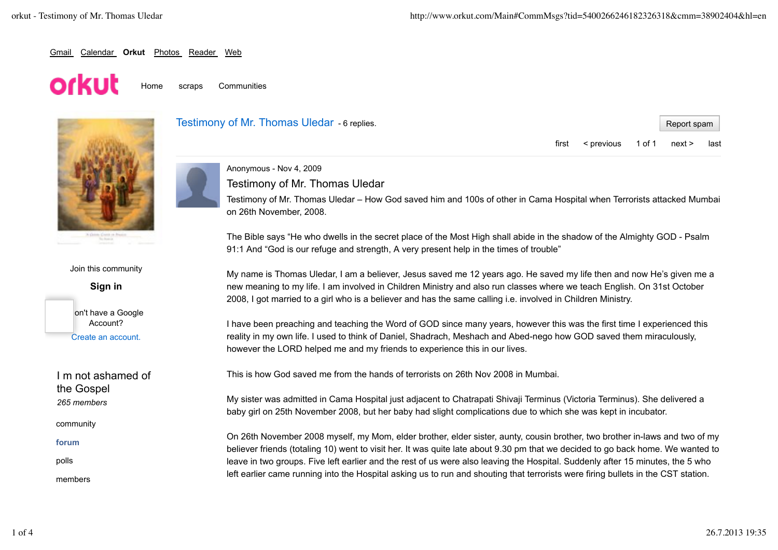Report spam

first < previous 1 of 1 next > last

### Gmail Calendar **Orkut** Photos Reader Web

# orkut

Home scraps Communities



Join this community

**Sign in**



I m not ashamed of the Gospel *265 members*

community

**forum**

polls

members





Testimony of Mr. Thomas Uledar

Testimony of Mr. Thomas Uledar – How God saved him and 100s of other in Cama Hospital when Terrorists attacked Mumbai on 26th November, 2008.

The Bible says "He who dwells in the secret place of the Most High shall abide in the shadow of the Almighty GOD - Psalm 91:1 And "God is our refuge and strength, A very present help in the times of trouble"

My name is Thomas Uledar, I am a believer, Jesus saved me 12 years ago. He saved my life then and now He's given me a new meaning to my life. I am involved in Children Ministry and also run classes where we teach English. On 31st October 2008, I got married to a girl who is a believer and has the same calling i.e. involved in Children Ministry.

I have been preaching and teaching the Word of GOD since many years, however this was the first time I experienced this reality in my own life. I used to think of Daniel, Shadrach, Meshach and Abed-nego how GOD saved them miraculously, however the LORD helped me and my friends to experience this in our lives.

This is how God saved me from the hands of terrorists on 26th Nov 2008 in Mumbai.

My sister was admitted in Cama Hospital just adjacent to Chatrapati Shivaji Terminus (Victoria Terminus). She delivered a baby girl on 25th November 2008, but her baby had slight complications due to which she was kept in incubator.

On 26th November 2008 myself, my Mom, elder brother, elder sister, aunty, cousin brother, two brother in-laws and two of my believer friends (totaling 10) went to visit her. It was quite late about 9.30 pm that we decided to go back home. We wanted to leave in two groups. Five left earlier and the rest of us were also leaving the Hospital. Suddenly after 15 minutes, the 5 who left earlier came running into the Hospital asking us to run and shouting that terrorists were firing bullets in the CST station.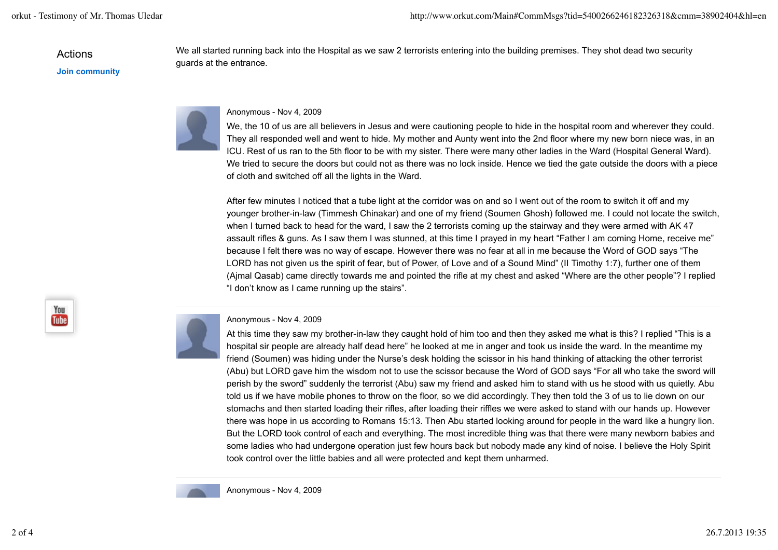Actions

**Join community**

guards at the entrance.

### Anonymous - Nov 4, 2009

We, the 10 of us are all believers in Jesus and were cautioning people to hide in the hospital room and wherever they could. They all responded well and went to hide. My mother and Aunty went into the 2nd floor where my new born niece was, in an ICU. Rest of us ran to the 5th floor to be with my sister. There were many other ladies in the Ward (Hospital General Ward). We tried to secure the doors but could not as there was no lock inside. Hence we tied the gate outside the doors with a piece of cloth and switched off all the lights in the Ward.

We all started running back into the Hospital as we saw 2 terrorists entering into the building premises. They shot dead two security

After few minutes I noticed that a tube light at the corridor was on and so I went out of the room to switch it off and my younger brother-in-law (Timmesh Chinakar) and one of my friend (Soumen Ghosh) followed me. I could not locate the switch, when I turned back to head for the ward, I saw the 2 terrorists coming up the stairway and they were armed with AK 47 assault rifles & guns. As I saw them I was stunned, at this time I prayed in my heart "Father I am coming Home, receive me" because I felt there was no way of escape. However there was no fear at all in me because the Word of GOD says "The LORD has not given us the spirit of fear, but of Power, of Love and of a Sound Mind" (II Timothy 1:7), further one of them (Ajmal Qasab) came directly towards me and pointed the rifle at my chest and asked "Where are the other people"? I replied "I don't know as I came running up the stairs".



#### Anonymous - Nov 4, 2009

At this time they saw my brother-in-law they caught hold of him too and then they asked me what is this? I replied "This is a hospital sir people are already half dead here" he looked at me in anger and took us inside the ward. In the meantime my friend (Soumen) was hiding under the Nurse's desk holding the scissor in his hand thinking of attacking the other terrorist (Abu) but LORD gave him the wisdom not to use the scissor because the Word of GOD says "For all who take the sword will perish by the sword" suddenly the terrorist (Abu) saw my friend and asked him to stand with us he stood with us quietly. Abu told us if we have mobile phones to throw on the floor, so we did accordingly. They then told the 3 of us to lie down on our stomachs and then started loading their rifles, after loading their riffles we were asked to stand with our hands up. However there was hope in us according to Romans 15:13. Then Abu started looking around for people in the ward like a hungry lion. But the LORD took control of each and everything. The most incredible thing was that there were many newborn babies and some ladies who had undergone operation just few hours back but nobody made any kind of noise. I believe the Holy Spirit took control over the little babies and all were protected and kept them unharmed.



Anonymous - Nov 4, 2009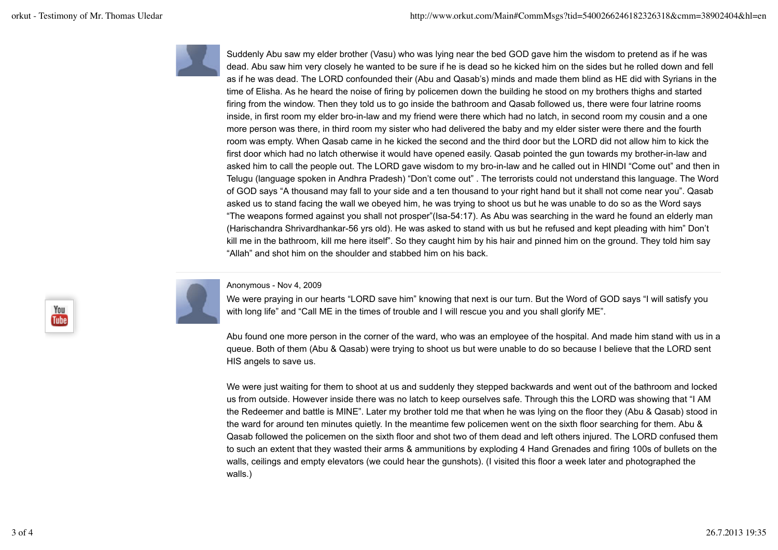

Suddenly Abu saw my elder brother (Vasu) who was lying near the bed GOD gave him the wisdom to pretend as if he was dead. Abu saw him very closely he wanted to be sure if he is dead so he kicked him on the sides but he rolled down and fell as if he was dead. The LORD confounded their (Abu and Qasab's) minds and made them blind as HE did with Syrians in the time of Elisha. As he heard the noise of firing by policemen down the building he stood on my brothers thighs and started firing from the window. Then they told us to go inside the bathroom and Qasab followed us, there were four latrine rooms inside, in first room my elder bro-in-law and my friend were there which had no latch, in second room my cousin and a one more person was there, in third room my sister who had delivered the baby and my elder sister were there and the fourth room was empty. When Qasab came in he kicked the second and the third door but the LORD did not allow him to kick the first door which had no latch otherwise it would have opened easily. Qasab pointed the gun towards my brother-in-law and asked him to call the people out. The LORD gave wisdom to my bro-in-law and he called out in HINDI "Come out" and then in Telugu (language spoken in Andhra Pradesh) "Don't come out" . The terrorists could not understand this language. The Word of GOD says "A thousand may fall to your side and a ten thousand to your right hand but it shall not come near you". Qasab asked us to stand facing the wall we obeyed him, he was trying to shoot us but he was unable to do so as the Word says "The weapons formed against you shall not prosper"(Isa-54:17). As Abu was searching in the ward he found an elderly man (Harischandra Shrivardhankar-56 yrs old). He was asked to stand with us but he refused and kept pleading with him" Don't kill me in the bathroom, kill me here itself". So they caught him by his hair and pinned him on the ground. They told him say "Allah" and shot him on the shoulder and stabbed him on his back.



## Anonymous - Nov 4, 2009

We were praying in our hearts "LORD save him" knowing that next is our turn. But the Word of GOD says "I will satisfy you with long life" and "Call ME in the times of trouble and I will rescue you and you shall glorify ME".

Abu found one more person in the corner of the ward, who was an employee of the hospital. And made him stand with us in a queue. Both of them (Abu & Qasab) were trying to shoot us but were unable to do so because I believe that the LORD sent HIS angels to save us.

We were just waiting for them to shoot at us and suddenly they stepped backwards and went out of the bathroom and locked us from outside. However inside there was no latch to keep ourselves safe. Through this the LORD was showing that "I AM the Redeemer and battle is MINE". Later my brother told me that when he was lying on the floor they (Abu & Qasab) stood in the ward for around ten minutes quietly. In the meantime few policemen went on the sixth floor searching for them. Abu & Qasab followed the policemen on the sixth floor and shot two of them dead and left others injured. The LORD confused them to such an extent that they wasted their arms & ammunitions by exploding 4 Hand Grenades and firing 100s of bullets on the walls, ceilings and empty elevators (we could hear the gunshots). (I visited this floor a week later and photographed the walls.)